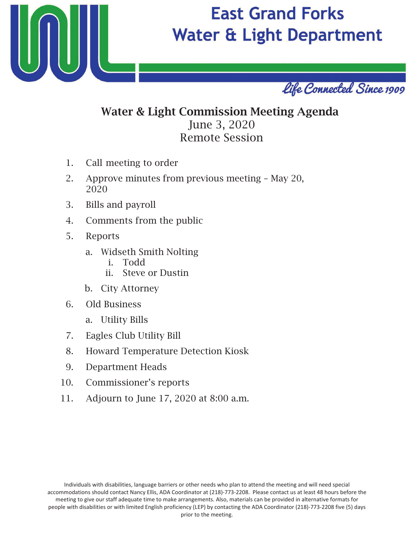

## **East Grand Forks Water & Light Department**



## Water & Light Commission Meeting Agenda June 3, 20 Remote Session

- 1. Call meeting to order
- 2. Approve minutes from previous meeting May 20, 2020
- 3. Bills and payroll
- 4. Comments from the public
- 5. Reports
	- a. Widseth Smith Nolting
		- i. Todd
		- ii. Steve or Dustin
	- b. City Attorney
- 6. Old Business
	- a. Utility Bills
- 7. Eagles Club Utility Bill
- 8. Howard Temperature Detection Kiosk
- 9. Department Heads
- 10. Commissioner's reports
- 11. Adjourn to June 17, 2020 at 8:00 a.m.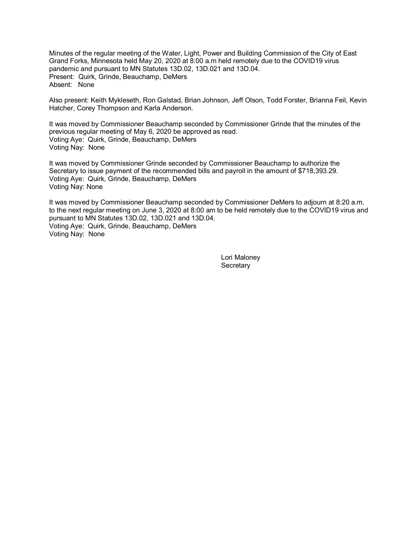Minutes of the regular meeting of the Water, Light, Power and Building Commission of the City of East Grand Forks, Minnesota held May 20, 2020 at 8:00 a.m held remotely due to the COVID19 virus pandemic and pursuant to MN Statutes 13D.02, 13D.021 and 13D.04. Present: Quirk, Grinde, Beauchamp, DeMers Absent: None

Also present: Keith Mykleseth, Ron Galstad, Brian Johnson, Jeff Olson, Todd Forster, Brianna Feil, Kevin Hatcher, Corey Thompson and Karla Anderson.

It was moved by Commissioner Beauchamp seconded by Commissioner Grinde that the minutes of the previous regular meeting of May 6, 2020 be approved as read. Voting Aye: Quirk, Grinde, Beauchamp, DeMers Voting Nay: None

It was moved by Commissioner Grinde seconded by Commissioner Beauchamp to authorize the Secretary to issue payment of the recommended bills and payroll in the amount of \$718,393.29. Voting Aye: Quirk, Grinde, Beauchamp, DeMers Voting Nay: None

It was moved by Commissioner Beauchamp seconded by Commissioner DeMers to adjourn at 8:20 a.m. to the next regular meeting on June 3, 2020 at 8:00 am to be held remotely due to the COVID19 virus and pursuant to MN Statutes 13D.02, 13D.021 and 13D.04. Voting Aye: Quirk, Grinde, Beauchamp, DeMers Voting Nay: None

> Lori Maloney **Secretary**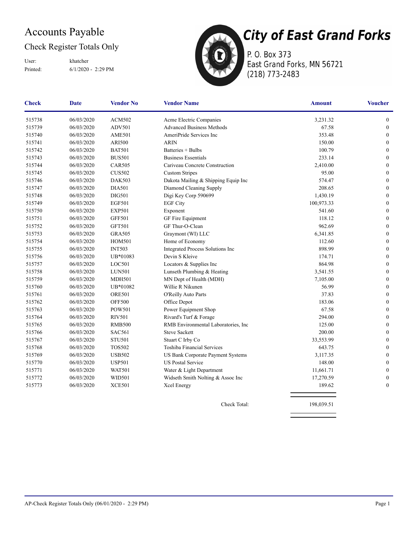## Accounts Payable

#### Check Register Totals Only

Printed: 6/1/2020 - 2:29 PM User: khatcher



P. O. Box 373 East Grand Forks, MN 56721 (218) 773-2483

| <b>Check</b> | <b>Date</b> | <b>Vendor No</b> | <b>Vendor Name</b>                  | <b>Amount</b> | <b>Voucher</b>   |
|--------------|-------------|------------------|-------------------------------------|---------------|------------------|
| 515738       | 06/03/2020  | <b>ACM502</b>    | Acme Electric Companies             | 3,231.32      | $\mathbf{0}$     |
| 515739       | 06/03/2020  | ADV501           | <b>Advanced Business Methods</b>    | 67.58         | $\boldsymbol{0}$ |
| 515740       | 06/03/2020  | <b>AME501</b>    | AmeriPride Services Inc             | 353.48        | $\boldsymbol{0}$ |
| 515741       | 06/03/2020  | <b>ARI500</b>    | <b>ARIN</b>                         | 150.00        | $\boldsymbol{0}$ |
| 515742       | 06/03/2020  | <b>BAT501</b>    | Batteries + Bulbs                   | 100.79        | $\boldsymbol{0}$ |
| 515743       | 06/03/2020  | <b>BUS501</b>    | <b>Business Essentials</b>          | 233.14        | $\boldsymbol{0}$ |
| 515744       | 06/03/2020  | <b>CAR505</b>    | Cariveau Concrete Construction      | 2,410.00      | $\boldsymbol{0}$ |
| 515745       | 06/03/2020  | <b>CUS502</b>    | <b>Custom Stripes</b>               | 95.00         | $\boldsymbol{0}$ |
| 515746       | 06/03/2020  | <b>DAK503</b>    | Dakota Mailing & Shipping Equip Inc | 574.47        | $\boldsymbol{0}$ |
| 515747       | 06/03/2020  | <b>DIA501</b>    | Diamond Cleaning Supply             | 208.65        | $\boldsymbol{0}$ |
| 515748       | 06/03/2020  | <b>DIG501</b>    | Digi Key Corp 590699                | 1,430.19      | $\boldsymbol{0}$ |
| 515749       | 06/03/2020  | <b>EGF501</b>    | <b>EGF City</b>                     | 100,973.33    | $\mathbf{0}$     |
| 515750       | 06/03/2020  | <b>EXP501</b>    | Exponent                            | 541.60        | $\mathbf{0}$     |
| 515751       | 06/03/2020  | <b>GFF501</b>    | GF Fire Equipment                   | 118.12        | $\mathbf{0}$     |
| 515752       | 06/03/2020  | <b>GFT501</b>    | GF Thur-O-Clean                     | 962.69        | $\mathbf{0}$     |
| 515753       | 06/03/2020  | <b>GRA505</b>    | Graymont (WI) LLC                   | 6,341.85      | $\boldsymbol{0}$ |
| 515754       | 06/03/2020  | <b>HOM501</b>    | Home of Economy                     | 112.60        | $\boldsymbol{0}$ |
| 515755       | 06/03/2020  | <b>INT503</b>    | Integrated Process Solutions Inc    | 898.99        | $\boldsymbol{0}$ |
| 515756       | 06/03/2020  | UB*01083         | Devin S Kleive                      | 174.71        | $\boldsymbol{0}$ |
| 515757       | 06/03/2020  | LOC501           | Locators & Supplies Inc             | 864.98        | $\boldsymbol{0}$ |
| 515758       | 06/03/2020  | <b>LUN501</b>    | Lunseth Plumbing & Heating          | 3,541.55      | $\boldsymbol{0}$ |
| 515759       | 06/03/2020  | <b>MDH501</b>    | MN Dept of Health (MDH)             | 7,105.00      | $\boldsymbol{0}$ |
| 515760       | 06/03/2020  | UB*01082         | Willie R Nikunen                    | 56.99         | $\boldsymbol{0}$ |
| 515761       | 06/03/2020  | <b>ORE501</b>    | O'Reilly Auto Parts                 | 37.83         | $\boldsymbol{0}$ |
| 515762       | 06/03/2020  | <b>OFF500</b>    | Office Depot                        | 183.06        | $\mathbf{0}$     |
| 515763       | 06/03/2020  | <b>POW501</b>    | Power Equipment Shop                | 67.58         | $\mathbf{0}$     |
| 515764       | 06/03/2020  | <b>RIV501</b>    | Rivard's Turf & Forage              | 294.00        | $\mathbf{0}$     |
| 515765       | 06/03/2020  | <b>RMB500</b>    | RMB Environmental Laboratories, Inc | 125.00        | $\boldsymbol{0}$ |
| 515766       | 06/03/2020  | <b>SAC561</b>    | <b>Steve Sackett</b>                | 200.00        | $\boldsymbol{0}$ |
| 515767       | 06/03/2020  | <b>STU501</b>    | Stuart C Irby Co                    | 33,553.99     | $\boldsymbol{0}$ |
| 515768       | 06/03/2020  | <b>TOS502</b>    | Toshiba Financial Services          | 643.75        | $\boldsymbol{0}$ |
| 515769       | 06/03/2020  | <b>USB502</b>    | US Bank Corporate Payment Systems   | 3,117.35      | $\boldsymbol{0}$ |
| 515770       | 06/03/2020  | <b>USP501</b>    | <b>US Postal Service</b>            | 148.00        | $\boldsymbol{0}$ |
| 515771       | 06/03/2020  | <b>WAT501</b>    | Water & Light Department            | 11,661.71     | $\boldsymbol{0}$ |
| 515772       | 06/03/2020  | <b>WID501</b>    | Widseth Smith Nolting & Assoc Inc   | 17,270.59     | $\boldsymbol{0}$ |
| 515773       | 06/03/2020  | <b>XCE501</b>    | Xcel Energy                         | 189.62        | $\mathbf{0}$     |

Check Total: 198,039.51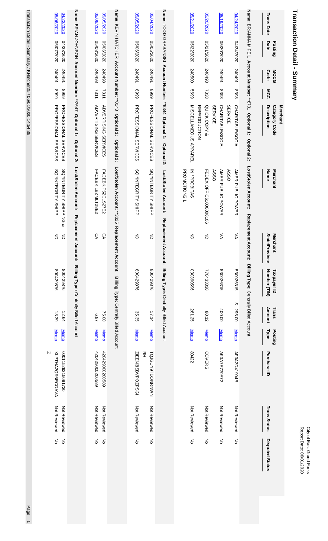| ğ<br>Š<br>ξ<br>Ë<br>ċ<br>٤<br>ģ |
|---------------------------------|
|                                 |

# Transaction Detail - Summary **Transaction Detail - Summary**

| 05/06/2020<br>04/22/2020                                     |                                                                    | 02/08/2020<br>0202/5050                                    | Name: KEVIN HATCHER Account Number: **0.143 Optional 1: | 02/05/2020                   | 05/04/2020                   |                                                                     |              | 0202/12020                                      | 05/20/2020                | 0202/61/90                              | 04/24/2020                          | Name: BAIANAN N FILI                              | <b>Trans Date</b>                        |
|--------------------------------------------------------------|--------------------------------------------------------------------|------------------------------------------------------------|---------------------------------------------------------|------------------------------|------------------------------|---------------------------------------------------------------------|--------------|-------------------------------------------------|---------------------------|-----------------------------------------|-------------------------------------|---------------------------------------------------|------------------------------------------|
| 0202/2020<br>04/23/2020                                      |                                                                    | 0208/2020<br>05/06/2020                                    |                                                         | 0208/2020                    | 05/05/2020                   |                                                                     |              | 05/22/2020                                      | 02/21/2020                | 02/20/2020                              | 0202/74/20                          |                                                   | Date<br>Posting                          |
| 167042<br>167042                                             |                                                                    | 240498<br>86+042                                           |                                                         | 240491                       | 167042                       |                                                                     |              | 240500                                          | 240498                    | 167042                                  | 16+045                              |                                                   | <b>MCCG</b><br>Code                      |
| 6668<br>6668                                                 |                                                                    | 7311<br>7311                                               |                                                         | 6668                         | 6668                         |                                                                     |              | 6699                                            | 7338                      | 8398                                    | 8398                                |                                                   | MCC                                      |
| <b>PROFESSIONAL SERVICES</b><br><b>PROFESSIONAL SERVICES</b> | Name: BRIAN JOHNSON Account Number: **2647 Optional 1: Optional 2: | <b>ADVERTISING SERVICES</b><br><b>ADVERTISING SERVICES</b> | Optional 2:                                             | <b>PROFESSIONAL SERVICES</b> | <b>PROFESSIONAL SERVICES</b> | Name: TODD GRABANSKI Account Number: **6344 Optional 1: Optional 2: |              | MISCELLANEOUS<br>APPAREL<br><b>REPRODUCTION</b> | QUICK COPY &              | CHARITABLE/SOCIAL<br><b>SERVICE</b>     | CHARITABLE/SOCIAL<br><b>SERVICE</b> | Account Number: **8731 Optional 1:<br>Optional 2: | Description<br>Category Code<br>Merchant |
| SQ *INTEGRITY SHIPPING<br>SQ *INTEGRITY SHIPP<br>∞           | Lost/Stolen Account:                                               | FACEBK LBZMLT28E2<br>FACEBK P5ZCLS27E2                     | Lost/Stolen Account: **3325                             | SQ *INTEGRITY SHIPP          | SQ *INTEGRITY SHIPP          | Lost/Stolen Account:                                                | PROMOTIONS L | IN *PROBITAS                                    | FEDEX OFFIC6100006106     | <b>AMER PUBLIC POWER</b><br><b>ASSO</b> | AMER PUBLIC POWER<br><b>ASSO</b>    | Lost/Stolen Account:                              | Name<br><b>Merchant</b>                  |
| 증<br>$\overline{5}$                                          | Replacement Ac<br>count:                                           | δĄ<br>δA                                                   | Replacement Account:                                    | 증                            | 증                            | Replacement Account:                                                |              | 증                                               | 좀                         | ⋚                                       | ⋚                                   | Replacement Acc<br>:une                           | State/Province<br><b>Merchant</b>        |
| 800429876<br>800429876                                       | Billing Type: Centrally Billed Account                             |                                                            | Billing Type: Centrally Billed Account                  | 800429876                    | 800429876                    | Billing Type: Centrally Billed Account                              |              | 969062069                                       | 770433330                 | 530026315                               | 530026315<br>↔                      | Billing Type: Centrally Billed Account            | Number (TIN)<br>Taxpayer ID              |
| 13.39<br>12.64                                               |                                                                    | 75.00<br>/89                                               |                                                         | 35.35                        | 17.14                        |                                                                     |              | 261.25                                          | 80.12                     | 400.00                                  | 295.00                              |                                                   | <b>Amount</b><br>Trans                   |
| <b>Memo</b><br><b>Memo</b>                                   |                                                                    | <b>Memo</b><br><b>Memo</b>                                 |                                                         | <b>Memo</b>                  | <b>Memo</b>                  |                                                                     |              | <b>Memo</b>                                     | <b>Memo</b>               | <b>Memo</b>                             | <b>Memo</b>                         |                                                   | <b>Type</b><br>Posting                   |
| N<br>02211529215091730<br>XLPTHA2QR5ECGAVA                   |                                                                    | 420429000200589<br>420429000200589                         |                                                         | 꼰<br>ZIE EN3ISBVPOZPSGI      | TQJGUY9TDONRNWN              |                                                                     |              | 80422                                           | <b>COVERS</b>             | AK0A7E720E72                            | AF0A2D41904B                        |                                                   | Purchase ID                              |
| Not Reviewed<br>Not Reviewed                                 |                                                                    | Not Reviewed<br>Not Reviewed                               |                                                         | Not Reviewed                 | Not Reviewed                 |                                                                     |              | Not Reviewed                                    | Not Reviewed              | Not Reviewed                            | Not Reviewed                        |                                                   | <b>Trans Status</b>                      |
| $\overline{5}$<br>$\mathsf{K}_{\mathsf{D}}$                  |                                                                    | $\frac{2}{\sigma}$<br>ξ                                    |                                                         | ξ                            | ξ                            |                                                                     |              | š                                               | $\mathop{\rm g}\nolimits$ | $\frac{2}{\sigma}$                      | ξ                                   |                                                   | <b>Disputed Status</b>                   |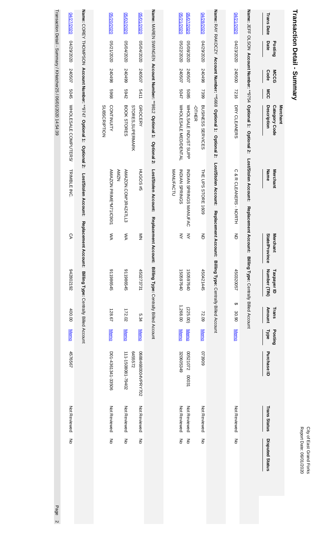# Transaction Detail - Summary **Transaction Detail - Summary**

|                                                                 | 0202/27/2020          |                                                                     | 02/20/2020                               | 02/02/2020<br>05/01/2020                                  |                                                                    | 02/21/2020<br>0207/2020                                      | 04/28/2020                               |                                                                  | 04/21/2020             |                                                                 | <b>Trans Date</b>                        |
|-----------------------------------------------------------------|-----------------------|---------------------------------------------------------------------|------------------------------------------|-----------------------------------------------------------|--------------------------------------------------------------------|--------------------------------------------------------------|------------------------------------------|------------------------------------------------------------------|------------------------|-----------------------------------------------------------------|------------------------------------------|
|                                                                 | 0202/62/20            |                                                                     | 0202/12020                               | 0207/04/2020<br>0204/2020                                 |                                                                    | 02/22/2020<br>05/08/2020                                     | 0202/62/20                               |                                                                  | 04/23/2020             |                                                                 | Date<br>Posting                          |
|                                                                 | 240507                |                                                                     | 240498                                   | 240507<br>66+0+2                                          |                                                                    | 240507<br>240507                                             | 240498                                   |                                                                  | 240500                 |                                                                 | Code<br><b>MCCG</b>                      |
|                                                                 | 5045                  |                                                                     | 8969                                     | 5411<br><b>5942</b>                                       |                                                                    | 5047<br>5085                                                 | 7399                                     |                                                                  | 7216                   |                                                                 | MCC                                      |
| Transaction Detail - Summary / KHatcher25 / 06/01/2020 14:54:39 | WHOLE SALE COMPUTERS/ | Name: COREY THOMPSON Account Number: **9747 Optional 1: Optional 2: | <b>CONTINUITY</b><br><b>SUBSCRIPTION</b> | <b>GROCERY</b><br>BOOK STORES<br><b>STORES, SUPERMARK</b> | Name: MAREN SWINGEN Account Number: **9812 Optional 1: Optional 2: | WHOLSALE INDUST SUPP<br>WHOLE SALE MED/DENTAL                | <b>BUSINESS SERVICES</b><br><b>OTHER</b> | Name: RAY RAKOCZY Account Number: **5668 Optional 1: Optional 2: | DRY CLEANERS           | Name: JEFF OLSON Account Number: **9754 Optional 1: Optional 2: | Merchant<br>Description<br>Category Code |
|                                                                 | <b>TRIMBLE INC</b>    | Lost/Stolen Account:                                                | AMAZON PRIME*M711C9011<br><b>NZWY</b>    | AMAZON.COM*JR4Z47LL3<br><b>HUGOS#5</b>                    | Lost/Stolen Account:                                               | <b>MANUFACTU</b><br>INDIAN SPRINGS<br>INDIAN SPRINGS MANUFAC | THE UPS STORE 1609                       | Lost/Stolen Account:                                             | C & R CLEANERS - NORTH | Lost/Stolen Account:                                            | <b>Merchant</b><br>Name                  |
|                                                                 | СA                    | <b>Replacement</b>                                                  | ŠХ                                       | ŠХ<br>$\frac{z}{z}$                                       | Replacement Account: Billing Type: Centrally Billed Account        | ₹<br>₹                                                       | $\overline{5}$                           | Replacement Account: Billing Type: Centrally Billed Account      | 증                      | Replacement Account:                                            | <b>Merchant</b><br>State/Province        |
|                                                                 | 242802192             | Account: Billing Type: Centrally Billed Account                     | 911986545                                | 911986545<br>450273731                                    |                                                                    | 150597640<br>150597640                                       | 450421445                                |                                                                  | 450320057              | Billing Type: Centrally Billed Account                          | Number (TIN)<br>Taxpayer ID              |
|                                                                 | 400.00                |                                                                     | 128.67                                   | 172.02<br>5.34                                            |                                                                    | 1,268.00<br>(225.00)                                         | 72.09                                    |                                                                  | ↔<br>30.90             |                                                                 | Trans<br>Amount                          |
|                                                                 | <b>Memo</b>           |                                                                     | <b>Memo</b>                              | <b>Memo</b><br><b>Memo</b>                                |                                                                    | <b>Memo</b><br><b>Memo</b>                                   | <b>Memo</b>                              |                                                                  | <b>Memo</b>            |                                                                 | Posting<br><b>Type</b>                   |
|                                                                 | 4576567               |                                                                     | D01-4361341-33506                        | 6455572<br>06884680004VPRY702<br>111-1508081-79402        |                                                                    | 320605349<br>00521072<br>18000                               | 606820                                   |                                                                  |                        |                                                                 | Purchase ID                              |
|                                                                 | Not Reviewed          |                                                                     | Not Reviewed                             | Not Reviewed<br>Not Reviewed                              |                                                                    | Not Reviewed<br>Not Reviewed                                 | Not Reviewed                             |                                                                  | Not Reviewed           |                                                                 | <b>Trans Status</b>                      |
|                                                                 | ξ                     |                                                                     | š                                        | ξ<br>ξ                                                    |                                                                    | š<br>$\stackrel{\textstyle >}{\textstyle \circ}$             | ξ                                        |                                                                  | ξ                      |                                                                 | <b>Disputed Status</b>                   |
| Page                                                            |                       |                                                                     |                                          |                                                           |                                                                    |                                                              |                                          |                                                                  |                        |                                                                 |                                          |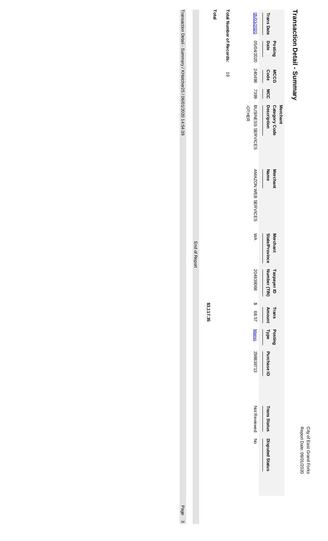## City of East Grand Forks<br>Report Date: 06/01/2020 Report Date: 06/01/2020 City of East Grand Forks

# Transaction Detail - Summary **Transaction Detail - Summary**

| <b>Total Number of Records:</b> |              |                                                         | <b>Trans Date</b>                   |                 |
|---------------------------------|--------------|---------------------------------------------------------|-------------------------------------|-----------------|
|                                 |              |                                                         | <b>Date</b>                         | Posting         |
| $\vec{6}$                       |              |                                                         | Code                                | <b>MCCG</b>     |
|                                 |              |                                                         | <b>MCC</b>                          |                 |
|                                 | <b>OTHER</b> | 05/03/2020 05/04/2020 24049 2404/2020 DDSINESS SERVICES | Description<br><b>Category Code</b> | <b>Merchant</b> |
|                                 |              | AMAZON WEB SERVICES                                     | Name                                | Merchant        |
|                                 |              | ŠХ                                                      | State/Province                      | <b>Merchant</b> |
|                                 |              | 204938068                                               | Number (TIN)<br>Taxpayer ID         |                 |
|                                 |              | \$ 68.57                                                | <b>Amount</b>                       |                 |
|                                 |              |                                                         | Trans<br><b>Trans</b>               |                 |
|                                 |              | Memo 298838713                                          | Type Purchase ID                    |                 |
|                                 |              | Not Reviewed No                                         |                                     |                 |
|                                 |              |                                                         | Trans Status Disputed Status        |                 |
|                                 |              |                                                         |                                     |                 |

**Total**

**\$3,117.35**

End of Report

End of Report

Transaction Detail - Summary / KHatcher25 / 06/01/2020 14:54:39 Transaction Detail - *S*ummary / KHatcher257 06/01/2020 14:54:39 Page 31:01:45:54:39 Page 32:020 14:54:39 Page 3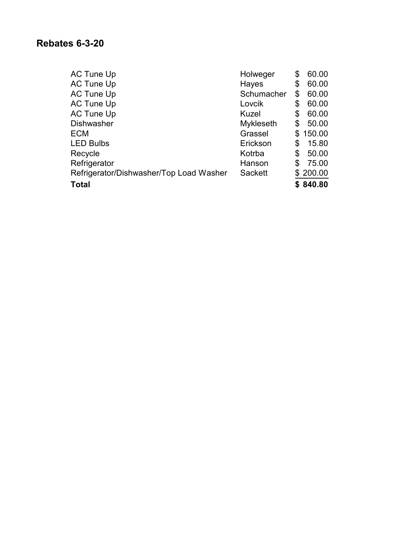### **Rebates 6-3-20**

| AC Tune Up                              | Holweger       | \$<br>60.00  |
|-----------------------------------------|----------------|--------------|
| AC Tune Up                              | Hayes          | \$<br>60.00  |
| AC Tune Up                              | Schumacher     | \$<br>60.00  |
| <b>AC Tune Up</b>                       | Lovcik         | \$<br>60.00  |
| AC Tune Up                              | Kuzel          | \$<br>60.00  |
| <b>Dishwasher</b>                       | Mykleseth      | \$<br>50.00  |
| <b>ECM</b>                              | Grassel        | \$<br>150.00 |
| <b>LED Bulbs</b>                        | Erickson       | \$<br>15.80  |
| Recycle                                 | Kotrba         | \$<br>50.00  |
| Refrigerator                            | Hanson         | \$<br>75.00  |
| Refrigerator/Dishwasher/Top Load Washer | <b>Sackett</b> | \$200.00     |
| <b>Total</b>                            |                | \$840.80     |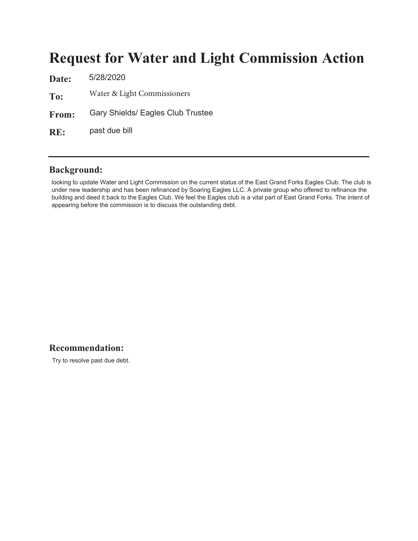## **Request for Water and Light Commission Action**

Date:  $\frac{5}{28/2020}$ To: From: om: Gary Shields/ Eagles Club Trustee  $RE:$ Water & Light Commissioners past due bill

#### **Background:**

looking to update Water and Light Commission on the current status of the East Grand Forks Eagles Club. The club is under new leadership and has been refinanced by Soaring Eagles LLC. A private group who offered to refinance the building and deed it back to the Eagles Club. We feel the Eagles club is a vital part of East Grand Forks. The intent of appearing before the commission is to discuss the outstanding debt.

#### Recommendation:

Try to resolve past due debt.